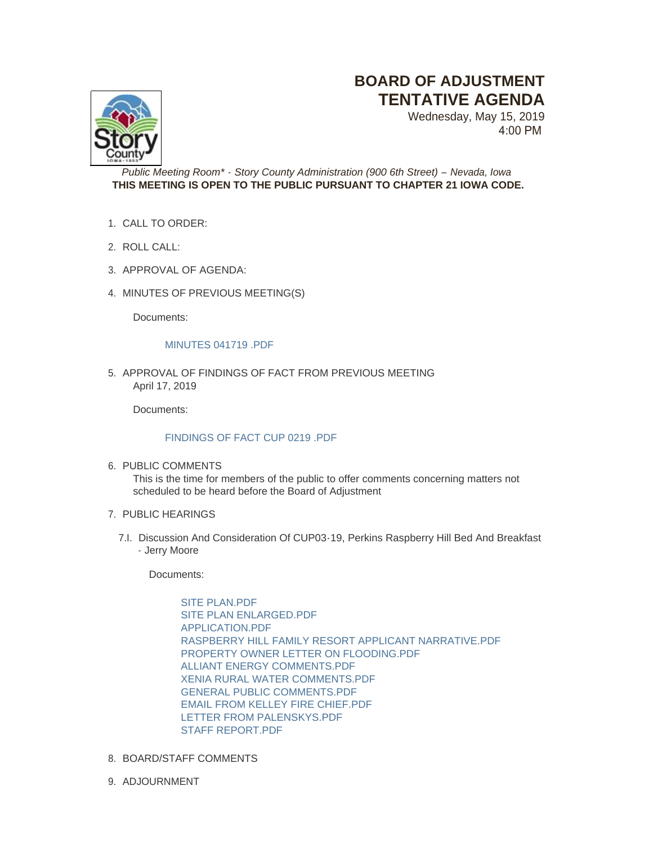## **BOARD OF ADJUSTMENT TENTATIVE AGENDA**



Wednesday, May 15, 2019 4:00 PM

*Public Meeting Room\* - Story County Administration (900 6th Street) – Nevada, Iowa* **THIS MEETING IS OPEN TO THE PUBLIC PURSUANT TO CHAPTER 21 IOWA CODE.**

- CALL TO ORDER: 1.
- 2. ROLL CALL:
- 3. APPROVAL OF AGENDA:
- 4. MINUTES OF PREVIOUS MEETING(S)

Documents:

## [MINUTES 041719 .PDF](http://www.storycountyiowa.gov/AgendaCenter/ViewFile/Item/14653?fileID=11289)

5. APPROVAL OF FINDINGS OF FACT FROM PREVIOUS MEETING April 17, 2019

Documents:

## [FINDINGS OF FACT CUP 0219 .PDF](http://www.storycountyiowa.gov/AgendaCenter/ViewFile/Item/14652?fileID=11287)

6. PUBLIC COMMENTS

This is the time for members of the public to offer comments concerning matters not scheduled to be heard before the Board of Adjustment

- 7. PUBLIC HEARINGS
	- 7.I. Discussion And Consideration Of CUP03-19, Perkins Raspberry Hill Bed And Breakfast - Jerry Moore

Documents:

[SITE PLAN.PDF](http://www.storycountyiowa.gov/AgendaCenter/ViewFile/Item/14654?fileID=11291) [SITE PLAN ENLARGED.PDF](http://www.storycountyiowa.gov/AgendaCenter/ViewFile/Item/14654?fileID=11292) [APPLICATION.PDF](http://www.storycountyiowa.gov/AgendaCenter/ViewFile/Item/14654?fileID=11293) [RASPBERRY HILL FAMILY RESORT APPLICANT NARRATIVE.PDF](http://www.storycountyiowa.gov/AgendaCenter/ViewFile/Item/14654?fileID=11297) [PROPERTY OWNER LETTER ON FLOODING.PDF](http://www.storycountyiowa.gov/AgendaCenter/ViewFile/Item/14654?fileID=11300) [ALLIANT ENERGY COMMENTS.PDF](http://www.storycountyiowa.gov/AgendaCenter/ViewFile/Item/14654?fileID=11294) [XENIA RURAL WATER COMMENTS.PDF](http://www.storycountyiowa.gov/AgendaCenter/ViewFile/Item/14654?fileID=11295) [GENERAL PUBLIC COMMENTS.PDF](http://www.storycountyiowa.gov/AgendaCenter/ViewFile/Item/14654?fileID=11296) [EMAIL FROM KELLEY FIRE CHIEF.PDF](http://www.storycountyiowa.gov/AgendaCenter/ViewFile/Item/14654?fileID=11298) [LETTER FROM PALENSKYS.PDF](http://www.storycountyiowa.gov/AgendaCenter/ViewFile/Item/14654?fileID=11299) STAFF REPORT PDF

- 8. BOARD/STAFF COMMENTS
- 9. ADJOURNMENT